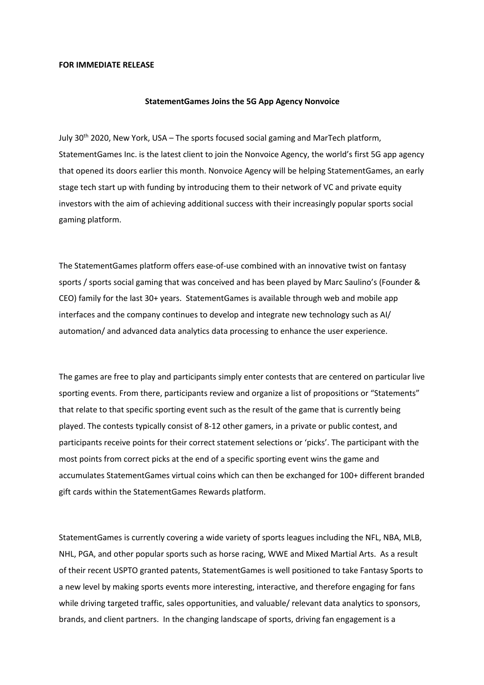## **FOR IMMEDIATE RELEASE**

## **StatementGames Joins the 5G App Agency Nonvoice**

July 30<sup>th</sup> 2020, New York, USA – The sports focused social gaming and MarTech platform, StatementGames Inc. is the latest client to join the Nonvoice Agency, the world's first 5G app agency that opened its doors earlier this month. Nonvoice Agency will be helping StatementGames, an early stage tech start up with funding by introducing them to their network of VC and private equity investors with the aim of achieving additional success with their increasingly popular sports social gaming platform.

The StatementGames platform offers ease-of-use combined with an innovative twist on fantasy sports / sports social gaming that was conceived and has been played by Marc Saulino's (Founder & CEO) family for the last 30+ years. StatementGames is available through web and mobile app interfaces and the company continues to develop and integrate new technology such as AI/ automation/ and advanced data analytics data processing to enhance the user experience.

The games are free to play and participants simply enter contests that are centered on particular live sporting events. From there, participants review and organize a list of propositions or "Statements" that relate to that specific sporting event such as the result of the game that is currently being played. The contests typically consist of 8-12 other gamers, in a private or public contest, and participants receive points for their correct statement selections or 'picks'. The participant with the most points from correct picks at the end of a specific sporting event wins the game and accumulates StatementGames virtual coins which can then be exchanged for 100+ different branded gift cards within the StatementGames Rewards platform.

StatementGames is currently covering a wide variety of sports leagues including the NFL, NBA, MLB, NHL, PGA, and other popular sports such as horse racing, WWE and Mixed Martial Arts. As a result of their recent USPTO granted patents, StatementGames is well positioned to take Fantasy Sports to a new level by making sports events more interesting, interactive, and therefore engaging for fans while driving targeted traffic, sales opportunities, and valuable/ relevant data analytics to sponsors, brands, and client partners. In the changing landscape of sports, driving fan engagement is a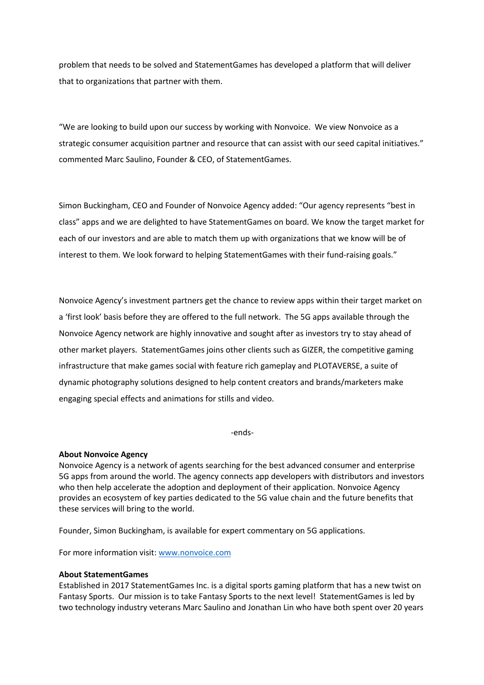problem that needs to be solved and StatementGames has developed a platform that will deliver that to organizations that partner with them.

"We are looking to build upon our success by working with Nonvoice. We view Nonvoice as a strategic consumer acquisition partner and resource that can assist with our seed capital initiatives." commented Marc Saulino, Founder & CEO, of StatementGames.

Simon Buckingham, CEO and Founder of Nonvoice Agency added: "Our agency represents "best in class" apps and we are delighted to have StatementGames on board. We know the target market for each of our investors and are able to match them up with organizations that we know will be of interest to them. We look forward to helping StatementGames with their fund-raising goals."

Nonvoice Agency's investment partners get the chance to review apps within their target market on a 'first look' basis before they are offered to the full network. The 5G apps available through the Nonvoice Agency network are highly innovative and sought after as investors try to stay ahead of other market players. StatementGames joins other clients such as GIZER, the competitive gaming infrastructure that make games social with feature rich gameplay and PLOTAVERSE, a suite of dynamic photography solutions designed to help content creators and brands/marketers make engaging special effects and animations for stills and video.

-ends-

## **About Nonvoice Agency**

Nonvoice Agency is a network of agents searching for the best advanced consumer and enterprise 5G apps from around the world. The agency connects app developers with distributors and investors who then help accelerate the adoption and deployment of their application. Nonvoice Agency provides an ecosystem of key parties dedicated to the 5G value chain and the future benefits that these services will bring to the world.

Founder, Simon Buckingham, is available for expert commentary on 5G applications.

For more information visit: www.nonvoice.com

## **About StatementGames**

Established in 2017 StatementGames Inc. is a digital sports gaming platform that has a new twist on Fantasy Sports. Our mission is to take Fantasy Sports to the next level! StatementGames is led by two technology industry veterans Marc Saulino and Jonathan Lin who have both spent over 20 years